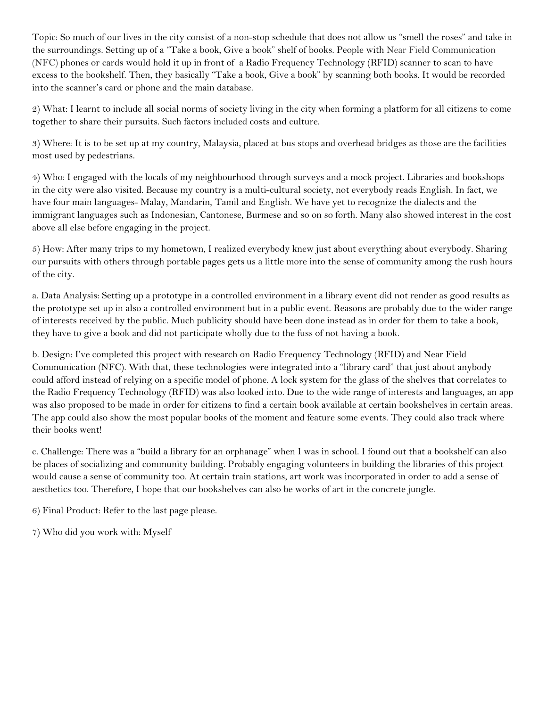Topic: So much of our lives in the city consist of a non-stop schedule that does not allow us "smell the roses" and take in the surroundings. Setting up of a "Take a book, Give a book" shelf of books. People with Near Field Communication (NFC) phones or cards would hold it up in front of a Radio Frequency Technology (RFID) scanner to scan to have excess to the bookshelf. Then, they basically "Take a book, Give a book" by scanning both books. It would be recorded into the scanner's card or phone and the main database.

2) What: I learnt to include all social norms of society living in the city when forming a platform for all citizens to come together to share their pursuits. Such factors included costs and culture.

3) Where: It is to be set up at my country, Malaysia, placed at bus stops and overhead bridges as those are the facilities most used by pedestrians.

4) Who: I engaged with the locals of my neighbourhood through surveys and a mock project. Libraries and bookshops in the city were also visited. Because my country is a multi-cultural society, not everybody reads English. In fact, we have four main languages- Malay, Mandarin, Tamil and English. We have yet to recognize the dialects and the immigrant languages such as Indonesian, Cantonese, Burmese and so on so forth. Many also showed interest in the cost above all else before engaging in the project.

5) How: After many trips to my hometown, I realized everybody knew just about everything about everybody. Sharing our pursuits with others through portable pages gets us a little more into the sense of community among the rush hours of the city.

a. Data Analysis: Setting up a prototype in a controlled environment in a library event did not render as good results as the prototype set up in also a controlled environment but in a public event. Reasons are probably due to the wider range of interests received by the public. Much publicity should have been done instead as in order for them to take a book, they have to give a book and did not participate wholly due to the fuss of not having a book.

b. Design: I've completed this project with research on Radio Frequency Technology (RFID) and Near Field Communication (NFC). With that, these technologies were integrated into a "library card" that just about anybody could afford instead of relying on a specific model of phone. A lock system for the glass of the shelves that correlates to the Radio Frequency Technology (RFID) was also looked into. Due to the wide range of interests and languages, an app was also proposed to be made in order for citizens to find a certain book available at certain bookshelves in certain areas. The app could also show the most popular books of the moment and feature some events. They could also track where their books went!

c. Challenge: There was a "build a library for an orphanage" when I was in school. I found out that a bookshelf can also be places of socializing and community building. Probably engaging volunteers in building the libraries of this project would cause a sense of community too. At certain train stations, art work was incorporated in order to add a sense of aesthetics too. Therefore, I hope that our bookshelves can also be works of art in the concrete jungle.

6) Final Product: Refer to the last page please.

7) Who did you work with: Myself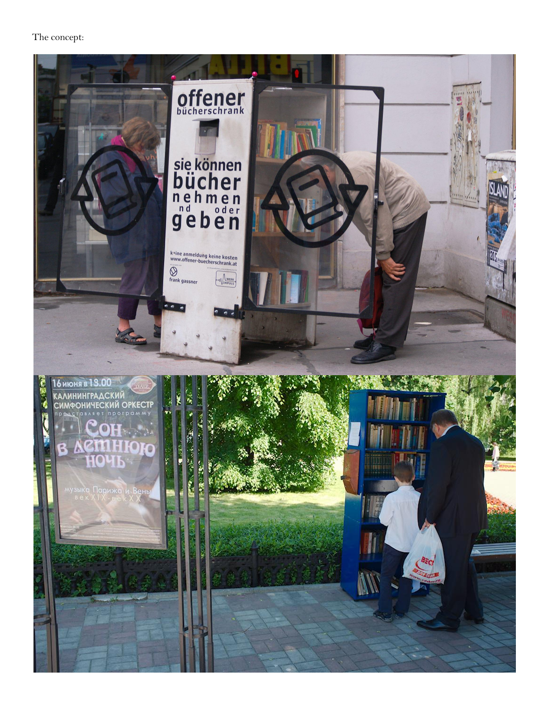## The concept: